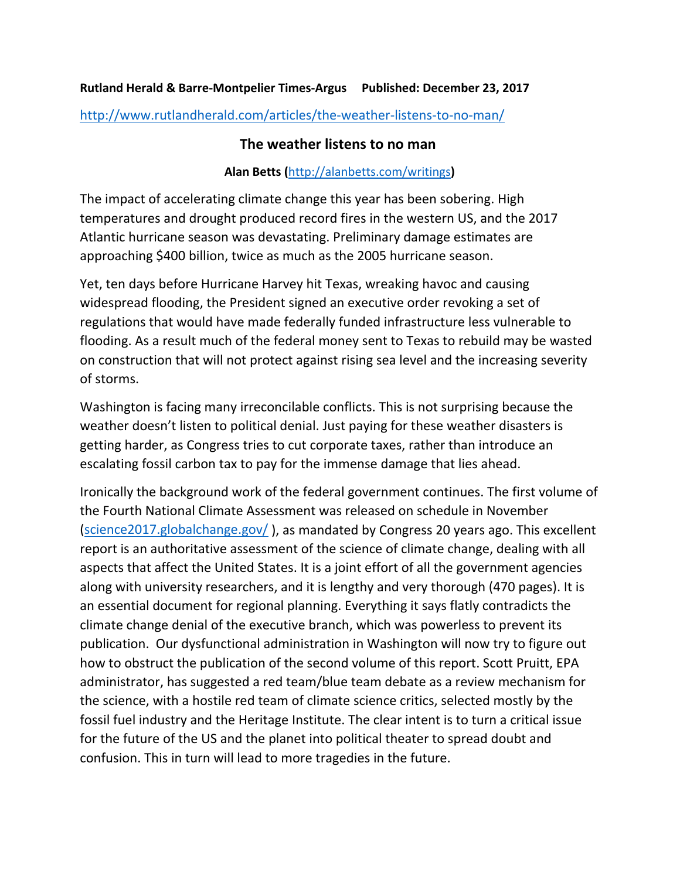## **Rutland Herald & Barre-Montpelier Times-Argus Published: December 23, 2017**

<http://www.rutlandherald.com/articles/the-weather-listens-to-no-man/>

## **The weather listens to no man**

## **Alan Betts (**<http://alanbetts.com/writings>**)**

The impact of accelerating climate change this year has been sobering. High temperatures and drought produced record fires in the western US, and the 2017 Atlantic hurricane season was devastating. Preliminary damage estimates are approaching \$400 billion, twice as much as the 2005 hurricane season.

Yet, ten days before Hurricane Harvey hit Texas, wreaking havoc and causing widespread flooding, the President signed an executive order revoking a set of regulations that would have made federally funded infrastructure less vulnerable to flooding. As a result much of the federal money sent to Texas to rebuild may be wasted on construction that will not protect against rising sea level and the increasing severity of storms.

Washington is facing many irreconcilable conflicts. This is not surprising because the weather doesn't listen to political denial. Just paying for these weather disasters is getting harder, as Congress tries to cut corporate taxes, rather than introduce an escalating fossil carbon tax to pay for the immense damage that lies ahead.

Ironically the background work of the federal government continues. The first volume of the Fourth National Climate Assessment was released on schedule in November [\(science2017.globalchange.gov/](https://science2017.globalchange.gov/) ), as mandated by Congress 20 years ago. This excellent report is an authoritative assessment of the science of climate change, dealing with all aspects that affect the United States. It is a joint effort of all the government agencies along with university researchers, and it is lengthy and very thorough (470 pages). It is an essential document for regional planning. Everything it says flatly contradicts the climate change denial of the executive branch, which was powerless to prevent its publication. Our dysfunctional administration in Washington will now try to figure out how to obstruct the publication of the second volume of this report. Scott Pruitt, EPA administrator, has suggested a red team/blue team debate as a review mechanism for the science, with a hostile red team of climate science critics, selected mostly by the fossil fuel industry and the Heritage Institute. The clear intent is to turn a critical issue for the future of the US and the planet into political theater to spread doubt and confusion. This in turn will lead to more tragedies in the future.